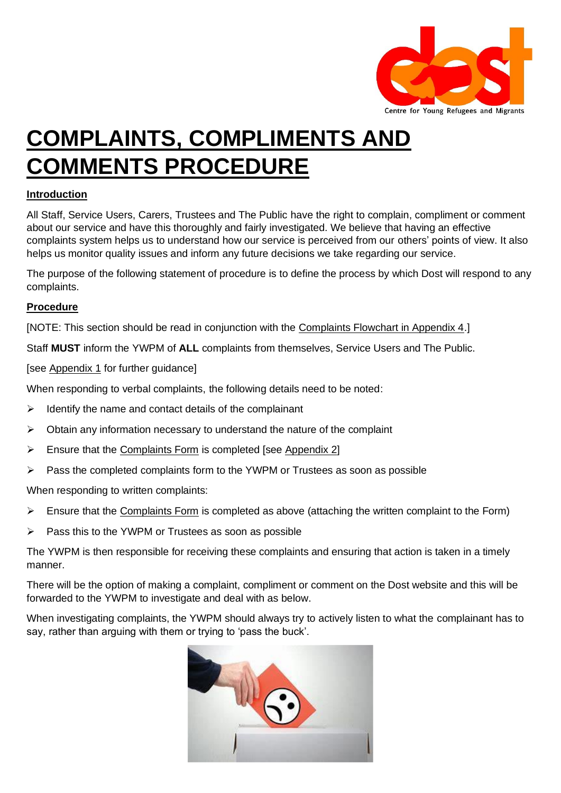

# **COMPLAINTS, COMPLIMENTS AND COMMENTS PROCEDURE**

### **Introduction**

All Staff, Service Users, Carers, Trustees and The Public have the right to complain, compliment or comment about our service and have this thoroughly and fairly investigated. We believe that having an effective complaints system helps us to understand how our service is perceived from our others' points of view. It also helps us monitor quality issues and inform any future decisions we take regarding our service.

The purpose of the following statement of procedure is to define the process by which Dost will respond to any complaints.

#### **Procedure**

[NOTE: This section should be read in conjunction with the [Complaints Flowchart in Appendix 4.](#page-4-0)]

Staff **MUST** inform the YWPM of **ALL** complaints from themselves, Service Users and The Public.

[see [Appendix 1](#page-2-0) for further guidance]

When responding to verbal complaints, the following details need to be noted:

- $\triangleright$  Identify the name and contact details of the complainant
- $\triangleright$  Obtain any information necessary to understand the nature of the complaint
- ➢ Ensure that the [Complaints Form](#page-3-0) is completed [see [Appendix 2\]](#page-3-0)
- ➢ Pass the completed complaints form to the YWPM or Trustees as soon as possible

When responding to written complaints:

- ➢ Ensure that the [Complaints Form](#page-3-0) is completed as above (attaching the written complaint to the Form)
- ➢ Pass this to the YWPM or Trustees as soon as possible

The YWPM is then responsible for receiving these complaints and ensuring that action is taken in a timely manner.

There will be the option of making a complaint, compliment or comment on the Dost website and this will be forwarded to the YWPM to investigate and deal with as below.

When investigating complaints, the YWPM should always try to actively listen to what the complainant has to say, rather than arguing with them or trying to 'pass the buck'.

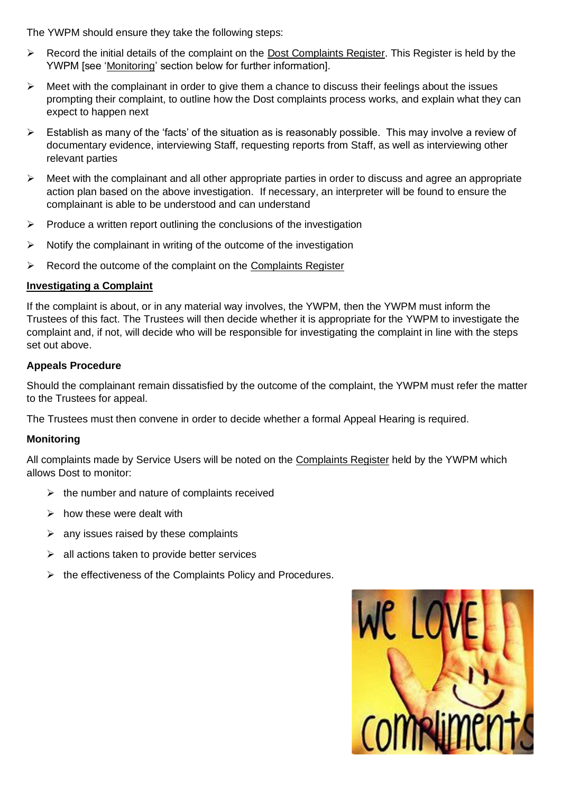The YWPM should ensure they take the following steps:

- ➢ Record the initial details of the complaint on the [Dost Complaints Register.](#page-3-1) This Register is held by the YWPM [see ['Monitoring'](#page-1-0) section below for further information].
- $\triangleright$  Meet with the complainant in order to give them a chance to discuss their feelings about the issues prompting their complaint, to outline how the Dost complaints process works, and explain what they can expect to happen next
- ➢ Establish as many of the 'facts' of the situation as is reasonably possible. This may involve a review of documentary evidence, interviewing Staff, requesting reports from Staff, as well as interviewing other relevant parties
- ➢ Meet with the complainant and all other appropriate parties in order to discuss and agree an appropriate action plan based on the above investigation. If necessary, an interpreter will be found to ensure the complainant is able to be understood and can understand
- $\triangleright$  Produce a written report outlining the conclusions of the investigation
- ➢ Notify the complainant in writing of the outcome of the investigation
- $\triangleright$  Record the outcome of the complaint on the [Complaints Register](#page-3-1)

#### **Investigating a Complaint**

If the complaint is about, or in any material way involves, the YWPM, then the YWPM must inform the Trustees of this fact. The Trustees will then decide whether it is appropriate for the YWPM to investigate the complaint and, if not, will decide who will be responsible for investigating the complaint in line with the steps set out above.

#### **Appeals Procedure**

Should the complainant remain dissatisfied by the outcome of the complaint, the YWPM must refer the matter to the Trustees for appeal.

The Trustees must then convene in order to decide whether a formal Appeal Hearing is required.

#### <span id="page-1-0"></span>**Monitoring**

All complaints made by Service Users will be noted on the [Complaints Register](#page-3-1) held by the YWPM which allows Dost to monitor:

- $\triangleright$  the number and nature of complaints received
- ➢ how these were dealt with
- $\triangleright$  any issues raised by these complaints
- $\triangleright$  all actions taken to provide better services
- ➢ the effectiveness of the Complaints Policy and Procedures.

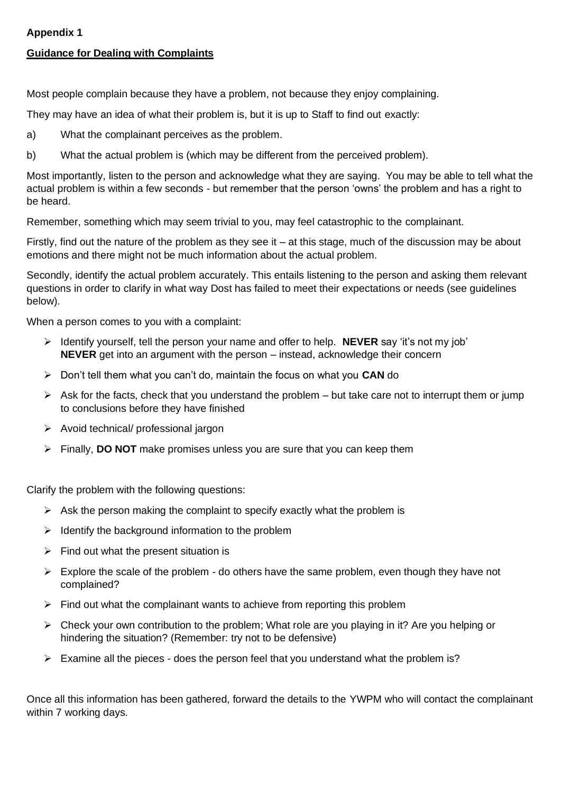#### **Appendix 1**

#### <span id="page-2-0"></span>**Guidance for Dealing with Complaints**

Most people complain because they have a problem, not because they enjoy complaining.

They may have an idea of what their problem is, but it is up to Staff to find out exactly:

- a) What the complainant perceives as the problem.
- b) What the actual problem is (which may be different from the perceived problem).

Most importantly, listen to the person and acknowledge what they are saying. You may be able to tell what the actual problem is within a few seconds - but remember that the person 'owns' the problem and has a right to be heard.

Remember, something which may seem trivial to you, may feel catastrophic to the complainant.

Firstly, find out the nature of the problem as they see it – at this stage, much of the discussion may be about emotions and there might not be much information about the actual problem.

Secondly, identify the actual problem accurately. This entails listening to the person and asking them relevant questions in order to clarify in what way Dost has failed to meet their expectations or needs (see guidelines below).

When a person comes to you with a complaint:

- ➢ Identify yourself, tell the person your name and offer to help. **NEVER** say 'it's not my job' **NEVER** get into an argument with the person – instead, acknowledge their concern
- ➢ Don't tell them what you can't do, maintain the focus on what you **CAN** do
- $\triangleright$  Ask for the facts, check that you understand the problem but take care not to interrupt them or jump to conclusions before they have finished
- ➢ Avoid technical/ professional jargon
- ➢ Finally, **DO NOT** make promises unless you are sure that you can keep them

Clarify the problem with the following questions:

- $\triangleright$  Ask the person making the complaint to specify exactly what the problem is
- $\triangleright$  Identify the background information to the problem
- $\triangleright$  Find out what the present situation is
- $\triangleright$  Explore the scale of the problem do others have the same problem, even though they have not complained?
- $\triangleright$  Find out what the complainant wants to achieve from reporting this problem
- $\triangleright$  Check your own contribution to the problem; What role are you playing in it? Are you helping or hindering the situation? (Remember: try not to be defensive)
- ➢ Examine all the pieces does the person feel that you understand what the problem is?

Once all this information has been gathered, forward the details to the YWPM who will contact the complainant within 7 working days.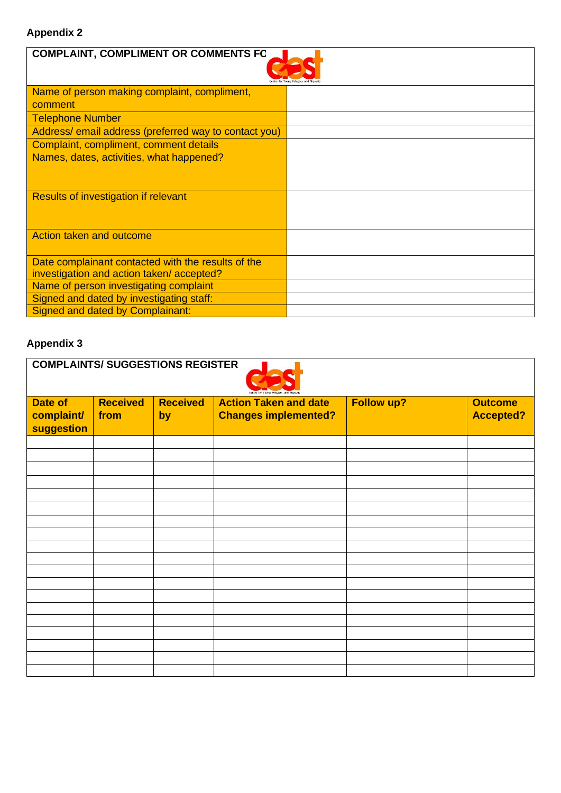## <span id="page-3-0"></span>**Appendix 2**

| <b>COMPLAINT, COMPLIMENT OR COMMENTS FC</b>          |  |  |  |  |  |  |  |
|------------------------------------------------------|--|--|--|--|--|--|--|
| Name of person making complaint, compliment,         |  |  |  |  |  |  |  |
| comment                                              |  |  |  |  |  |  |  |
| <b>Telephone Number</b>                              |  |  |  |  |  |  |  |
| Address/email address (preferred way to contact you) |  |  |  |  |  |  |  |
| Complaint, compliment, comment details               |  |  |  |  |  |  |  |
| Names, dates, activities, what happened?             |  |  |  |  |  |  |  |
|                                                      |  |  |  |  |  |  |  |
| <b>Results of investigation if relevant</b>          |  |  |  |  |  |  |  |
|                                                      |  |  |  |  |  |  |  |
| Action taken and outcome                             |  |  |  |  |  |  |  |
| Date complainant contacted with the results of the   |  |  |  |  |  |  |  |
| investigation and action taken/accepted?             |  |  |  |  |  |  |  |
| Name of person investigating complaint               |  |  |  |  |  |  |  |
| Signed and dated by investigating staff:             |  |  |  |  |  |  |  |
| <b>Signed and dated by Complainant:</b>              |  |  |  |  |  |  |  |

## <span id="page-3-1"></span>**Appendix 3**

| <b>COMPLAINTS/ SUGGESTIONS REGISTER</b> |                         |                       |                                                             |                   |                                    |  |
|-----------------------------------------|-------------------------|-----------------------|-------------------------------------------------------------|-------------------|------------------------------------|--|
| Date of<br>complaint/<br>suggestion     | <b>Received</b><br>from | <b>Received</b><br>by | <b>Action Taken and date</b><br><b>Changes implemented?</b> | <b>Follow up?</b> | <b>Outcome</b><br><b>Accepted?</b> |  |
|                                         |                         |                       |                                                             |                   |                                    |  |
|                                         |                         |                       |                                                             |                   |                                    |  |
|                                         |                         |                       |                                                             |                   |                                    |  |
|                                         |                         |                       |                                                             |                   |                                    |  |
|                                         |                         |                       |                                                             |                   |                                    |  |
|                                         |                         |                       |                                                             |                   |                                    |  |
|                                         |                         |                       |                                                             |                   |                                    |  |